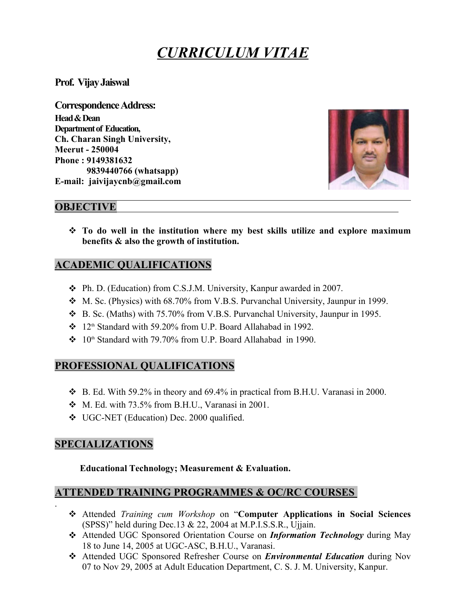# *CURRICULUM VITAE*

**Prof. VijayJaiswal**

**Correspondence Address: Head&Dean Department of Education, Ch. Charan Singh University, Meerut - 250004 Phone : 9149381632 9839440766 (whatsapp) E-mail: jaivijaycnb@gmail.com**



## **OBJECTIVE**

 **To do well in the institution where my best skills utilize and explore maximum benefits & also the growth of institution.**

## **ACADEMIC QUALIFICATIONS**

- Ph. D. (Education) from C.S.J.M. University, Kanpur awarded in 2007.
- M. Sc. (Physics) with 68.70% from V.B.S. Purvanchal University, Jaunpur in 1999.
- B. Sc. (Maths) with 75.70% from V.B.S. Purvanchal University, Jaunpur in 1995.
- $\div$  12<sup>th</sup> Standard with 59.20% from U.P. Board Allahabad in 1992.
- $\div$  10<sup>th</sup> Standard with 79.70% from U.P. Board Allahabad in 1990.

## **PROFESSIONAL QUALIFICATIONS**

- $\div$  B. Ed. With 59.2% in theory and 69.4% in practical from B.H.U. Varanasi in 2000.
- $\bullet$  M. Ed. with 73.5% from B.H.U., Varanasi in 2001.
- UGC-NET (Education) Dec. 2000 qualified.

## **SPECIALIZATIONS**

#### **Educational Technology; Measurement & Evaluation.**

## **ATTENDED TRAINING PROGRAMMES & OC/RC COURSES**

- . Attended *Training cum Workshop* on "**Computer Applications in Social Sciences** (SPSS)" held during Dec.13  $& 22, 2004$  at M.P.I.S.S.R., Ujjain.
	- Attended UGC Sponsored Orientation Course on *Information Technology* during May 18 to June 14, 2005 at UGC-ASC, B.H.U., Varanasi.
	- Attended UGC Sponsored Refresher Course on *Environmental Education* during Nov 07 to Nov 29, 2005 at Adult Education Department, C. S. J. M. University, Kanpur.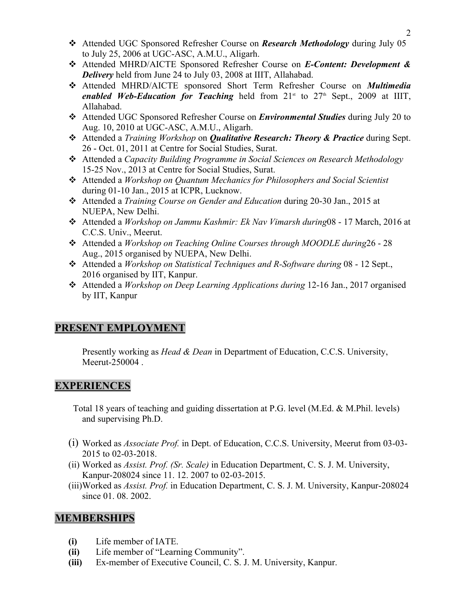- Attended UGC Sponsored Refresher Course on *Research Methodology* during July 05 to July 25, 2006 at UGC-ASC, A.M.U., Aligarh.
- Attended MHRD/AICTE Sponsored Refresher Course on *E-Content: Development & Delivery* held from June 24 to July 03, 2008 at IIIT, Allahabad.
- Attended MHRD/AICTE sponsored Short Term Refresher Course on *Multimedia enabled Web-Education for Teaching* held from  $21<sup>st</sup>$  to  $27<sup>th</sup>$  Sept., 2009 at IIIT, Allahabad.
- Attended UGC Sponsored Refresher Course on *Environmental Studies* during July 20 to Aug. 10, 2010 at UGC-ASC, A.M.U., Aligarh.
- Attended a *Training Workshop* on *Qualitative Research: Theory & Practice* during Sept. 26 - Oct. 01, 2011 at Centre for Social Studies, Surat.
- Attended a *Capacity Building Programme in Social Sciences on Research Methodology*  15-25 Nov., 2013 at Centre for Social Studies, Surat.
- Attended a *Workshop on Quantum Mechanics for Philosophers and Social Scientist*  during 01-10 Jan., 2015 at ICPR, Lucknow.
- Attended a *Training Course on Gender and Education* during 20-30 Jan., 2015 at NUEPA, New Delhi.
- Attended a *Workshop on Jammu Kashmir: Ek Nav Vimarsh during*08 17 March, 2016 at C.C.S. Univ., Meerut.
- Attended a *Workshop on Teaching Online Courses through MOODLE during*26 28 Aug., 2015 organised by NUEPA, New Delhi.
- Attended a *Workshop on Statistical Techniques and R-Software during* 08 12 Sept., 2016 organised by IIT, Kanpur.
- Attended a *Workshop on Deep Learning Applications during* 12-16 Jan., 2017 organised by IIT, Kanpur

## **PRESENT EMPLOYMENT**

Presently working as *Head & Dean* in Department of Education, C.C.S. University, Meerut-250004 .

#### **EXPERIENCES**

 Total 18 years of teaching and guiding dissertation at P.G. level (M.Ed. & M.Phil. levels) and supervising Ph.D.

- (i) Worked as *Associate Prof.* in Dept. of Education, C.C.S. University, Meerut from 03-03- 2015 to 02-03-2018.
- (ii) Worked as *Assist. Prof. (Sr. Scale)* in Education Department, C. S. J. M. University, Kanpur-208024 since 11. 12. 2007 to 02-03-2015.
- (iii)Worked as *Assist. Prof.* in Education Department, C. S. J. M. University, Kanpur-208024 since 01, 08, 2002.

#### **MEMBERSHIPS**

- **(i)** Life member of IATE.
- **(ii)** Life member of "Learning Community".
- **(iii)** Ex-member of Executive Council, C. S. J. M. University, Kanpur.